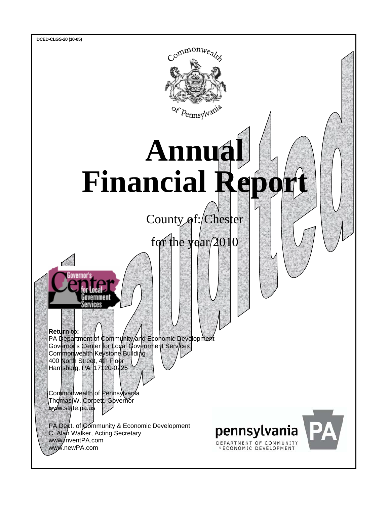

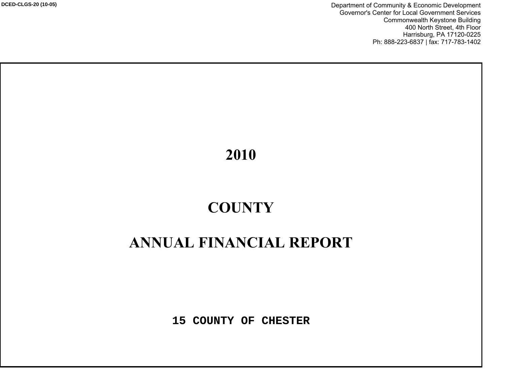Department of Community & Economic Development Governor's Center for Local Government Services Commonwealth Keystone Building 400 North Street, 4th Floor Harrisburg, PA 17120-0225 Ph: 888-223-6837 | fax: 717-783-1402

# 2010

# $\bf COUNTY$

# **ANNUAL FINANCIAL REPORT**

**15 COUNTY OF CHESTER**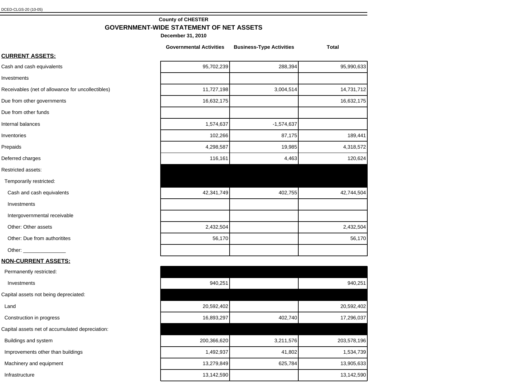## **County of CHESTER GOVERNMENT-WIDE STATEMENT OF NET ASSETS**

|                                                   | <b>Governmental Activities</b> | <b>Business-Type Activities</b> | <b>Total</b> |
|---------------------------------------------------|--------------------------------|---------------------------------|--------------|
| <b>CURRENT ASSETS:</b>                            |                                |                                 |              |
| Cash and cash equivalents                         | 95,702,239                     | 288,394                         | 95,990,633   |
| Investments                                       |                                |                                 |              |
| Receivables (net of allowance for uncollectibles) | 11,727,198                     | 3,004,514                       | 14,731,712   |
| Due from other governments                        | 16,632,175                     |                                 | 16,632,175   |
| Due from other funds                              |                                |                                 |              |
| Internal balances                                 | 1,574,637                      | $-1,574,637$                    |              |
| Inventories                                       | 102,266                        | 87,175                          | 189,441      |
| Prepaids                                          | 4,298,587                      | 19,985                          | 4,318,572    |
| Deferred charges                                  | 116,161                        | 4,463                           | 120,624      |
| Restricted assets:                                |                                |                                 |              |
| Temporarily restricted:                           |                                |                                 |              |
| Cash and cash equivalents                         | 42,341,749                     | 402,755                         | 42,744,504   |
| Investments                                       |                                |                                 |              |
| Intergovernmental receivable                      |                                |                                 |              |
| Other: Other assets                               | 2,432,504                      |                                 | 2,432,504    |
| Other: Due from authoritites                      | 56,170                         |                                 | 56,170       |
|                                                   |                                |                                 |              |
| <u>NON-CURRENT ASSETS:</u>                        |                                |                                 |              |
| Permanently restricted:                           |                                |                                 |              |
| Investments                                       | 940,251                        |                                 | 940,251      |
| Capital assets not being depreciated:             |                                |                                 |              |
| Land                                              | 20,592,402                     |                                 | 20,592,402   |
| Construction in progress                          | 16,893,297                     | 402,740                         | 17,296,037   |
| Capital assets net of accumulated depreciation:   |                                |                                 |              |
| Buildings and system                              | 200,366,620                    | 3,211,576                       | 203,578,196  |
| Improvements other than buildings                 | 1,492,937                      | 41,802                          | 1,534,739    |
| Machinery and equipment                           | 13,279,849                     | 625,784                         | 13,905,633   |
| Infrastructure                                    | 13,142,590                     |                                 | 13,142,590   |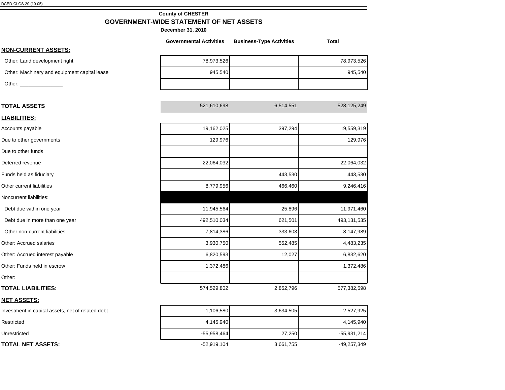# **County of CHESTER GOVERNMENT-WIDE STATEMENT OF NET ASSETS**

|                                                   | <b>Governmental Activities</b> | <b>Business-Type Activities</b> | <b>Total</b> |
|---------------------------------------------------|--------------------------------|---------------------------------|--------------|
| <b>NON-CURRENT ASSETS:</b>                        |                                |                                 |              |
| Other: Land development right                     | 78,973,526                     |                                 | 78,973,526   |
| Other: Machinery and equipment capital lease      | 945,540                        |                                 | 945,540      |
|                                                   |                                |                                 |              |
| <b>TOTAL ASSETS</b>                               | 521,610,698                    | 6,514,551                       | 528,125,249  |
| <b>LIABILITIES:</b>                               |                                |                                 |              |
| Accounts payable                                  | 19,162,025                     | 397,294                         | 19,559,319   |
| Due to other governments                          | 129,976                        |                                 | 129,976      |
| Due to other funds                                |                                |                                 |              |
| Deferred revenue                                  | 22,064,032                     |                                 | 22,064,032   |
| Funds held as fiduciary                           |                                | 443,530                         | 443,530      |
| Other current liabilities                         | 8,779,956                      | 466,460                         | 9,246,416    |
| Noncurrent liabilities:                           |                                |                                 |              |
| Debt due within one year                          | 11,945,564                     | 25,896                          | 11,971,460   |
| Debt due in more than one year                    | 492,510,034                    | 621,501                         | 493,131,535  |
| Other non-current liabilities                     | 7,814,386                      | 333,603                         | 8,147,989    |
| Other: Accrued salaries                           | 3,930,750                      | 552,485                         | 4,483,235    |
| Other: Accrued interest payable                   | 6,820,593                      | 12,027                          | 6,832,620    |
| Other: Funds held in escrow                       | 1,372,486                      |                                 | 1,372,486    |
|                                                   |                                |                                 |              |
| <b>TOTAL LIABILITIES:</b>                         | 574,529,802                    | 2,852,796                       | 577,382,598  |
| <b>NET ASSETS:</b>                                |                                |                                 |              |
| Investment in capital assets, net of related debt | $-1,106,580$                   | 3,634,505                       | 2,527,925    |
|                                                   |                                |                                 |              |

| Investment in capital assets, net of related debt | $-1,106,580$  | 3,634,505 | 2,527,925     |
|---------------------------------------------------|---------------|-----------|---------------|
| Restricted                                        | 4.145.940     |           | 4,145,940     |
| Unrestricted                                      | $-55,958,464$ | 27,250    | $-55,931,214$ |
| <b>TOTAL NET ASSETS:</b>                          | $-52,919,104$ | 3,661,755 | -49,257,349   |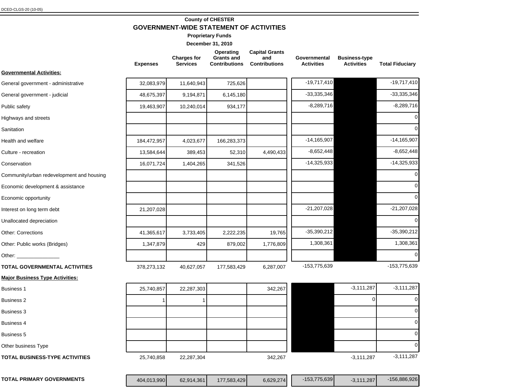# **County of CHESTER GOVERNMENT-WIDE STATEMENT OF ACTIVITIES**

**Proprietary Funds**

|                                           | <b>Expenses</b> | <b>Charges for</b><br><b>Services</b> | Operating<br><b>Grants and</b><br><b>Contributions</b> | <b>Capital Grants</b><br>and<br><b>Contributions</b> | Governmental<br><b>Activities</b> | <b>Business-type</b><br><b>Activities</b> | <b>Total Fiduciary</b> |
|-------------------------------------------|-----------------|---------------------------------------|--------------------------------------------------------|------------------------------------------------------|-----------------------------------|-------------------------------------------|------------------------|
| <b>Governmental Activities:</b>           |                 |                                       |                                                        |                                                      |                                   |                                           |                        |
| General government - administrative       | 32,083,979      | 11,640,943                            | 725,626                                                |                                                      | $-19,717,410$                     |                                           | $-19,717,410$          |
| General government - judicial             | 48,675,397      | 9,194,871                             | 6,145,180                                              |                                                      | $-33,335,346$                     |                                           | $-33,335,346$          |
| Public safety                             | 19,463,907      | 10,240,014                            | 934,177                                                |                                                      | $-8,289,716$                      |                                           | $-8,289,716$           |
| Highways and streets                      |                 |                                       |                                                        |                                                      |                                   |                                           | $\mathcal{C}$          |
| Sanitation                                |                 |                                       |                                                        |                                                      |                                   |                                           | $\sqrt{ }$             |
| Health and welfare                        | 184,472,957     | 4,023,677                             | 166,283,373                                            |                                                      | $-14,165,907$                     |                                           | $-14, 165, 907$        |
| Culture - recreation                      | 13,584,644      | 389,453                               | 52,310                                                 | 4,490,433                                            | $-8,652,448$                      |                                           | $-8,652,448$           |
| Conservation                              | 16,071,724      | 1,404,265                             | 341,526                                                |                                                      | $-14,325,933$                     |                                           | $-14,325,933$          |
| Community/urban redevelopment and housing |                 |                                       |                                                        |                                                      |                                   |                                           | $\mathcal{C}$          |
| Economic development & assistance         |                 |                                       |                                                        |                                                      |                                   |                                           | $\epsilon$             |
| Economic opportunity                      |                 |                                       |                                                        |                                                      |                                   |                                           |                        |
| Interest on long term debt                | 21,207,028      |                                       |                                                        |                                                      | $-21,207,028$                     |                                           | $-21,207,028$          |
| Unallocated depreciation                  |                 |                                       |                                                        |                                                      |                                   |                                           |                        |
| <b>Other: Corrections</b>                 | 41,365,617      | 3,733,405                             | 2,222,235                                              | 19,765                                               | $-35,390,212$                     |                                           | $-35,390,212$          |
| Other: Public works (Bridges)             | 1,347,879       | 429                                   | 879,002                                                | 1,776,809                                            | 1,308,361                         |                                           | 1,308,361              |
| Other: _________________                  |                 |                                       |                                                        |                                                      |                                   |                                           |                        |
| TOTAL GOVERNMENTAL ACTIVITIES             | 378,273,132     | 40,627,057                            | 177,583,429                                            | 6,287,007                                            | -153,775,639                      |                                           | -153,775,639           |
| <b>Major Business Type Activities:</b>    |                 |                                       |                                                        |                                                      |                                   |                                           |                        |
| <b>Business 1</b>                         | 25,740,857      | 22,287,303                            |                                                        | 342,267                                              |                                   | $-3,111,287$                              | $-3,111,287$           |
| <b>Business 2</b>                         |                 |                                       |                                                        |                                                      |                                   | $\Omega$                                  | $\epsilon$             |
| Business 3                                |                 |                                       |                                                        |                                                      |                                   |                                           | $\mathcal{C}$          |
| <b>Business 4</b>                         |                 |                                       |                                                        |                                                      |                                   |                                           |                        |
| Business 5                                |                 |                                       |                                                        |                                                      |                                   |                                           |                        |
| Other business Type                       |                 |                                       |                                                        |                                                      |                                   |                                           |                        |
| <b>TOTAL BUSINESS-TYPE ACTIVITIES</b>     | 25,740,858      | 22,287,304                            |                                                        | 342,267                                              |                                   | $-3,111,287$                              | $-3,111,287$           |

| <b>PRIMARY GOVERNMENTS</b><br><b>TOTAL</b> | 404,013,990 | 62.914.361 | 177.583.429 | 6,629,274 | $-153.775.639$ | 1.287' | .886.926<br>156.6 |
|--------------------------------------------|-------------|------------|-------------|-----------|----------------|--------|-------------------|
|--------------------------------------------|-------------|------------|-------------|-----------|----------------|--------|-------------------|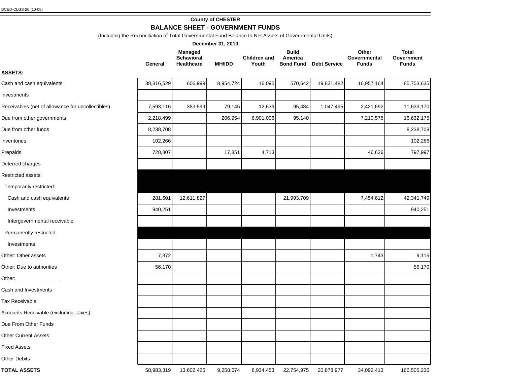## **County of CHESTER**

## **BALANCE SHEET - GOVERNMENT FUNDS**

(Including the Reconciliation of Total Governmental Fund Balance to Net Assets of Governmental Units)

|                                                   |            |                                                   | December 31, 2010 |                              |                                             |                     |                                |                                            |
|---------------------------------------------------|------------|---------------------------------------------------|-------------------|------------------------------|---------------------------------------------|---------------------|--------------------------------|--------------------------------------------|
|                                                   | General    | <b>Managed</b><br><b>Behavioral</b><br>Healthcare | <b>MH/IDD</b>     | <b>Children and</b><br>Youth | <b>Build</b><br>America<br><b>Bond Fund</b> | <b>Debt Service</b> | Other<br>Governmental<br>Funds | <b>Total</b><br>Government<br><b>Funds</b> |
| <b>ASSETS:</b>                                    |            |                                                   |                   |                              |                                             |                     |                                |                                            |
| Cash and cash equivalents                         | 38,816,529 | 606,999                                           | 8,954,724         | 16,095                       | 570,642                                     | 19,831,482          | 16,957,164                     | 85,753,635                                 |
| Investments                                       |            |                                                   |                   |                              |                                             |                     |                                |                                            |
| Receivables (net of allowance for uncollectibles) | 7,593,116  | 383,599                                           | 79,145            | 12,639                       | 95,484                                      | 1,047,495           | 2,421,692                      | 11,633,170                                 |
| Due from other governments                        | 2,218,499  |                                                   | 206,954           | 6,901,006                    | 95,140                                      |                     | 7,210,576                      | 16,632,175                                 |
| Due from other funds                              | 8,238,708  |                                                   |                   |                              |                                             |                     |                                | 8,238,708                                  |
| Inventories                                       | 102,266    |                                                   |                   |                              |                                             |                     |                                | 102,266                                    |
| Prepaids                                          | 728,807    |                                                   | 17,851            | 4,713                        |                                             |                     | 46,626                         | 797,997                                    |
| Deferred charges                                  |            |                                                   |                   |                              |                                             |                     |                                |                                            |
| Restricted assets:                                |            |                                                   |                   |                              |                                             |                     |                                |                                            |
| Temporarily restricted:                           |            |                                                   |                   |                              |                                             |                     |                                |                                            |
| Cash and cash equivalents                         | 281,601    | 12,611,827                                        |                   |                              | 21,993,709                                  |                     | 7,454,612                      | 42,341,749                                 |
| Investments                                       | 940,251    |                                                   |                   |                              |                                             |                     |                                | 940,251                                    |
| Intergovernmental receivable                      |            |                                                   |                   |                              |                                             |                     |                                |                                            |
| Permanently restricted:                           |            |                                                   |                   |                              |                                             |                     |                                |                                            |
| Investments                                       |            |                                                   |                   |                              |                                             |                     |                                |                                            |
| Other: Other assets                               | 7,372      |                                                   |                   |                              |                                             |                     | 1,743                          | 9,115                                      |
| Other: Due to authorities                         | 56,170     |                                                   |                   |                              |                                             |                     |                                | 56,170                                     |
| Other: ___________________                        |            |                                                   |                   |                              |                                             |                     |                                |                                            |
| Cash and Investments                              |            |                                                   |                   |                              |                                             |                     |                                |                                            |
| <b>Tax Receivable</b>                             |            |                                                   |                   |                              |                                             |                     |                                |                                            |
| Accounts Receivable (excluding taxes)             |            |                                                   |                   |                              |                                             |                     |                                |                                            |
| Due From Other Funds                              |            |                                                   |                   |                              |                                             |                     |                                |                                            |
| <b>Other Current Assets</b>                       |            |                                                   |                   |                              |                                             |                     |                                |                                            |
| <b>Fixed Assets</b>                               |            |                                                   |                   |                              |                                             |                     |                                |                                            |
| <b>Other Debits</b>                               |            |                                                   |                   |                              |                                             |                     |                                |                                            |
| <b>TOTAL ASSETS</b>                               | 58,983,319 | 13,602,425                                        | 9,258,674         | 6,934,453                    | 22,754,975                                  | 20,878,977          | 34,092,413                     | 166,505,236                                |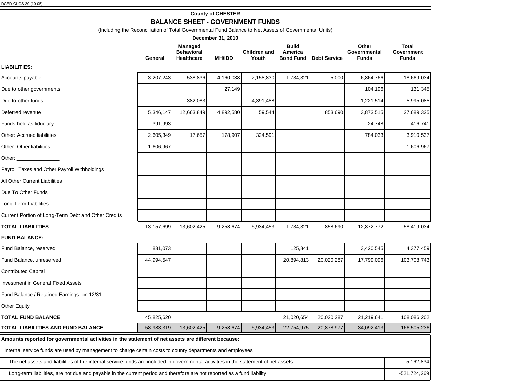# **County of CHESTER BALANCE SHEET - GOVERNMENT FUNDS**

(Including the Reconciliation of Total Governmental Fund Balance to Net Assets of Governmental Units)

|                                                                                                                                     |            |                                                          | December 31, 2010 |                              |                         |                               |                                       |                                            |
|-------------------------------------------------------------------------------------------------------------------------------------|------------|----------------------------------------------------------|-------------------|------------------------------|-------------------------|-------------------------------|---------------------------------------|--------------------------------------------|
|                                                                                                                                     | General    | <b>Managed</b><br><b>Behavioral</b><br><b>Healthcare</b> | <b>MH/IDD</b>     | <b>Children and</b><br>Youth | <b>Build</b><br>America | <b>Bond Fund Debt Service</b> | Other<br>Governmental<br><b>Funds</b> | <b>Total</b><br>Government<br><b>Funds</b> |
| <u>LIABILITIES:</u>                                                                                                                 |            |                                                          |                   |                              |                         |                               |                                       |                                            |
| Accounts payable                                                                                                                    | 3,207,243  | 538,836                                                  | 4,160,038         | 2,158,830                    | 1,734,321               | 5,000                         | 6,864,766                             | 18,669,034                                 |
| Due to other governments                                                                                                            |            |                                                          | 27,149            |                              |                         |                               | 104,196                               | 131,345                                    |
| Due to other funds                                                                                                                  |            | 382,083                                                  |                   | 4,391,488                    |                         |                               | 1,221,514                             | 5,995,085                                  |
| Deferred revenue                                                                                                                    | 5,346,147  | 12,663,849                                               | 4,892,580         | 59,544                       |                         | 853,690                       | 3,873,515                             | 27,689,325                                 |
| Funds held as fiduciary                                                                                                             | 391,993    |                                                          |                   |                              |                         |                               | 24,748                                | 416,741                                    |
| Other: Accrued liabilities                                                                                                          | 2,605,349  | 17,657                                                   | 178,907           | 324,591                      |                         |                               | 784,033                               | 3,910,537                                  |
| Other: Other liabilities                                                                                                            | 1,606,967  |                                                          |                   |                              |                         |                               |                                       | 1,606,967                                  |
| Other: __________________                                                                                                           |            |                                                          |                   |                              |                         |                               |                                       |                                            |
| Payroll Taxes and Other Payroll Withholdings                                                                                        |            |                                                          |                   |                              |                         |                               |                                       |                                            |
| All Other Current Liabilities                                                                                                       |            |                                                          |                   |                              |                         |                               |                                       |                                            |
| Due To Other Funds                                                                                                                  |            |                                                          |                   |                              |                         |                               |                                       |                                            |
| Long-Term-Liabilities                                                                                                               |            |                                                          |                   |                              |                         |                               |                                       |                                            |
| Current Portion of Long-Term Debt and Other Credits                                                                                 |            |                                                          |                   |                              |                         |                               |                                       |                                            |
| TOTAL LIABILITIES                                                                                                                   | 13,157,699 | 13,602,425                                               | 9,258,674         | 6,934,453                    | 1,734,321               | 858,690                       | 12,872,772                            | 58,419,034                                 |
| <b>FUND BALANCE:</b>                                                                                                                |            |                                                          |                   |                              |                         |                               |                                       |                                            |
| Fund Balance, reserved                                                                                                              | 831,073    |                                                          |                   |                              | 125,841                 |                               | 3,420,545                             | 4,377,459                                  |
| Fund Balance, unreserved                                                                                                            | 44,994,547 |                                                          |                   |                              | 20,894,813              | 20,020,287                    | 17,799,096                            | 103,708,743                                |
| <b>Contributed Capital</b>                                                                                                          |            |                                                          |                   |                              |                         |                               |                                       |                                            |
| <b>Investment in General Fixed Assets</b>                                                                                           |            |                                                          |                   |                              |                         |                               |                                       |                                            |
| Fund Balance / Retained Earnings on 12/31                                                                                           |            |                                                          |                   |                              |                         |                               |                                       |                                            |
| Other Equity                                                                                                                        |            |                                                          |                   |                              |                         |                               |                                       |                                            |
| <b>TOTAL FUND BALANCE</b>                                                                                                           | 45,825,620 |                                                          |                   |                              | 21,020,654              | 20,020,287                    | 21,219,641                            | 108,086,202                                |
| TOTAL LIABILITIES AND FUND BALANCE                                                                                                  | 58,983,319 | 13,602,425                                               | 9,258,674         | 6,934,453                    | 22,754,975              | 20,878,977                    | 34,092,413                            | 166,505,236                                |
| Amounts reported for governmental activities in the statement of net assets are different because:                                  |            |                                                          |                   |                              |                         |                               |                                       |                                            |
| Internal service funds are used by management to charge certain costs to county departments and employees                           |            |                                                          |                   |                              |                         |                               |                                       |                                            |
| The net assets and liabilities of the internal service funds are included in governmental activities in the statement of net assets |            |                                                          |                   |                              |                         |                               |                                       | 5,162,834                                  |
| Long-term liabilities, are not due and payable in the current period and therefore are not reported as a fund liability             |            |                                                          |                   |                              |                         |                               |                                       | $-521,724,269$                             |
|                                                                                                                                     |            |                                                          |                   |                              |                         |                               |                                       |                                            |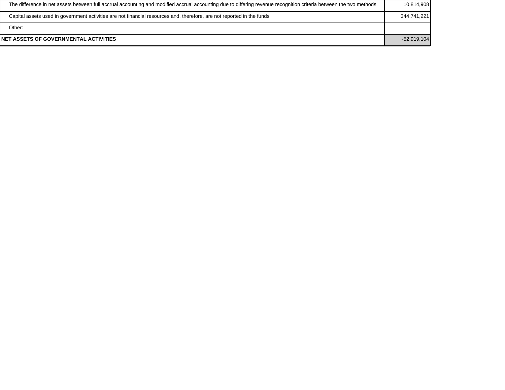| NET ASSETS OF GOVERNMENTAL ACTIVITIES                                                                                                                              | $-52,919,104$ |
|--------------------------------------------------------------------------------------------------------------------------------------------------------------------|---------------|
| Other:                                                                                                                                                             |               |
| Capital assets used in government activities are not financial resources and, therefore, are not reported in the funds                                             | 344,741,221   |
| The difference in net assets between full accrual accounting and modified accrual accounting due to differing revenue recognition criteria between the two methods | 10,814,908    |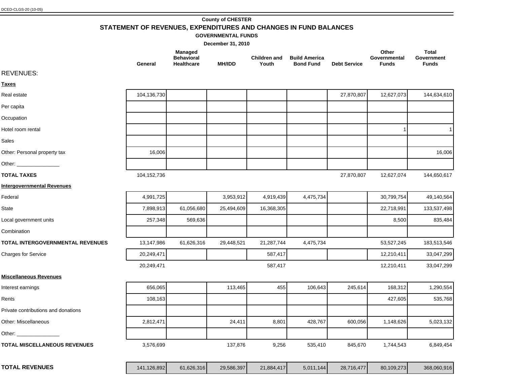| DCED-CLGS-20 (10-05) |
|----------------------|
|----------------------|

#### **County of CHESTER**

# **STATEMENT OF REVENUES, EXPENDITURES AND CHANGES IN FUND BALANCES**

### **GOVERNMENTAL FUNDS**

|                                     | General     | Managed<br><b>Behavioral</b><br><b>Healthcare</b> | <b>MH/IDD</b> | <b>Children and</b><br>Youth | <b>Build America</b><br><b>Bond Fund</b> | <b>Debt Service</b> | Other<br>Governmental<br><b>Funds</b> | <b>Total</b><br>Government<br><b>Funds</b> |
|-------------------------------------|-------------|---------------------------------------------------|---------------|------------------------------|------------------------------------------|---------------------|---------------------------------------|--------------------------------------------|
| <b>REVENUES:</b>                    |             |                                                   |               |                              |                                          |                     |                                       |                                            |
| <u>Taxes</u>                        |             |                                                   |               |                              |                                          |                     |                                       |                                            |
| Real estate                         | 104,136,730 |                                                   |               |                              |                                          | 27,870,807          | 12,627,073                            | 144,634,610                                |
| Per capita                          |             |                                                   |               |                              |                                          |                     |                                       |                                            |
| Occupation                          |             |                                                   |               |                              |                                          |                     |                                       |                                            |
| Hotel room rental                   |             |                                                   |               |                              |                                          |                     |                                       |                                            |
| Sales                               |             |                                                   |               |                              |                                          |                     |                                       |                                            |
| Other: Personal property tax        | 16,006      |                                                   |               |                              |                                          |                     |                                       | 16,006                                     |
| Other: $\_\_$                       |             |                                                   |               |                              |                                          |                     |                                       |                                            |
| <b>TOTAL TAXES</b>                  | 104,152,736 |                                                   |               |                              |                                          | 27,870,807          | 12,627,074                            | 144,650,617                                |
| <b>Intergovernmental Revenues</b>   |             |                                                   |               |                              |                                          |                     |                                       |                                            |
| Federal                             | 4,991,725   |                                                   | 3,953,912     | 4,919,439                    | 4,475,734                                |                     | 30,799,754                            | 49,140,564                                 |
| State                               | 7,898,913   | 61,056,680                                        | 25,494,609    | 16,368,305                   |                                          |                     | 22,718,991                            | 133,537,498                                |
| Local government units              | 257,348     | 569,636                                           |               |                              |                                          |                     | 8,500                                 | 835,484                                    |
| Combination                         |             |                                                   |               |                              |                                          |                     |                                       |                                            |
| TOTAL INTERGOVERNMENTAL REVENUES    | 13,147,986  | 61,626,316                                        | 29,448,521    | 21,287,744                   | 4,475,734                                |                     | 53,527,245                            | 183,513,546                                |
| <b>Charges for Service</b>          | 20,249,471  |                                                   |               | 587,417                      |                                          |                     | 12,210,411                            | 33,047,299                                 |
|                                     | 20,249,471  |                                                   |               | 587,417                      |                                          |                     | 12,210,411                            | 33,047,299                                 |
| <b>Miscellaneous Revenues</b>       |             |                                                   |               |                              |                                          |                     |                                       |                                            |
| Interest earnings                   | 656,065     |                                                   | 113,465       | 455                          | 106,643                                  | 245,614             | 168,312                               | 1,290,554                                  |
| Rents                               | 108,163     |                                                   |               |                              |                                          |                     | 427,605                               | 535,768                                    |
| Private contributions and donations |             |                                                   |               |                              |                                          |                     |                                       |                                            |
| Other: Miscellaneous                | 2,812,471   |                                                   | 24,411        | 8,801                        | 428,767                                  | 600,056             | 1,148,626                             | 5,023,132                                  |
|                                     |             |                                                   |               |                              |                                          |                     |                                       |                                            |
| <b>TOTAL MISCELLANEOUS REVENUES</b> | 3,576,699   |                                                   | 137,876       | 9,256                        | 535,410                                  | 845,670             | 1,744,543                             | 6,849,454                                  |
| <b>TOTAL REVENUES</b>               | 141,126,892 | 61,626,316                                        | 29,586,397    | 21,884,417                   | 5,011,144                                | 28,716,477          | 80,109,273                            | 368,060,916                                |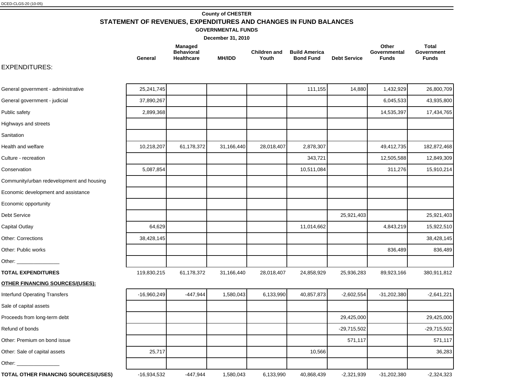# **County of CHESTER STATEMENT OF REVENUES, EXPENDITURES AND CHANGES IN FUND BALANCES**

**GOVERNMENTAL FUNDS**

**December 31, 2010**

|         | Managed                         |               |                       |                                          |                     | Other                        | Total               |
|---------|---------------------------------|---------------|-----------------------|------------------------------------------|---------------------|------------------------------|---------------------|
| General | <b>Behavioral</b><br>Healthcare | <b>MH/IDD</b> | Children and<br>Youth | <b>Build America</b><br><b>Bond Fund</b> | <b>Debt Service</b> | Governmental<br><b>Funds</b> | Government<br>Funds |

## EXPENDITURES:

| General government - administrative       | 25,241,745    |            |            |            | 111,155    | 14,880        | 1,432,929     | 26,800,709    |
|-------------------------------------------|---------------|------------|------------|------------|------------|---------------|---------------|---------------|
| General government - judicial             | 37,890,267    |            |            |            |            |               | 6,045,533     | 43,935,800    |
| Public safety                             | 2,899,368     |            |            |            |            |               | 14,535,397    | 17,434,765    |
| Highways and streets                      |               |            |            |            |            |               |               |               |
| Sanitation                                |               |            |            |            |            |               |               |               |
| Health and welfare                        | 10,218,207    | 61,178,372 | 31,166,440 | 28,018,407 | 2,878,307  |               | 49,412,735    | 182,872,468   |
| Culture - recreation                      |               |            |            |            | 343,721    |               | 12,505,588    | 12,849,309    |
| Conservation                              | 5,087,854     |            |            |            | 10,511,084 |               | 311,276       | 15,910,214    |
| Community/urban redevelopment and housing |               |            |            |            |            |               |               |               |
| Economic development and assistance       |               |            |            |            |            |               |               |               |
| Economic opportunity                      |               |            |            |            |            |               |               |               |
| Debt Service                              |               |            |            |            |            | 25,921,403    |               | 25,921,403    |
| Capital Outlay                            | 64,629        |            |            |            | 11,014,662 |               | 4,843,219     | 15,922,510    |
| Other: Corrections                        | 38,428,145    |            |            |            |            |               |               | 38,428,145    |
| Other: Public works                       |               |            |            |            |            |               | 836,489       | 836,489       |
| Other: $\rule{1em}{0.15mm}$               |               |            |            |            |            |               |               |               |
| <b>TOTAL EXPENDITURES</b>                 | 119,830,215   | 61,178,372 | 31,166,440 | 28,018,407 | 24,858,929 | 25,936,283    | 89,923,166    | 380,911,812   |
| <b>OTHER FINANCING SOURCES/(USES):</b>    |               |            |            |            |            |               |               |               |
| <b>Interfund Operating Transfers</b>      | $-16,960,249$ | $-447,944$ | 1,580,043  | 6,133,990  | 40,857,873 | $-2,602,554$  | $-31,202,380$ | $-2,641,221$  |
| Sale of capital assets                    |               |            |            |            |            |               |               |               |
| Proceeds from long-term debt              |               |            |            |            |            | 29,425,000    |               | 29,425,000    |
| Refund of bonds                           |               |            |            |            |            | $-29,715,502$ |               | $-29,715,502$ |
| Other: Premium on bond issue              |               |            |            |            |            | 571,117       |               | 571,117       |
| Other: Sale of capital assets             | 25,717        |            |            |            | 10,566     |               |               | 36,283        |
| Other: ______________                     |               |            |            |            |            |               |               |               |
| TOTAL OTHER FINANCING SOURCES/(USES)      | -16,934,532   | $-447,944$ | 1,580,043  | 6,133,990  | 40,868,439 | $-2,321,939$  | $-31,202,380$ | $-2,324,323$  |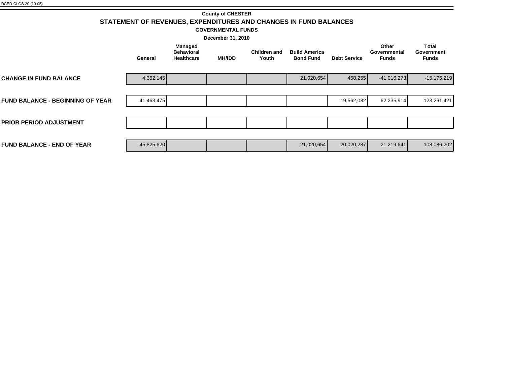| <b>County of CHESTER</b>                                         |
|------------------------------------------------------------------|
| STATEMENT OF REVENUES, EXPENDITURES AND CHANGES IN FUND BALANCES |

**GOVERNMENTAL FUNDS**

| December 31, 2010                       |            |                                                          |               |                              |                                          |                     |                                       |                                            |
|-----------------------------------------|------------|----------------------------------------------------------|---------------|------------------------------|------------------------------------------|---------------------|---------------------------------------|--------------------------------------------|
|                                         | General    | <b>Managed</b><br><b>Behavioral</b><br><b>Healthcare</b> | <b>MH/IDD</b> | <b>Children and</b><br>Youth | <b>Build America</b><br><b>Bond Fund</b> | <b>Debt Service</b> | Other<br>Governmental<br><b>Funds</b> | <b>Total</b><br>Government<br><b>Funds</b> |
| <b>CHANGE IN FUND BALANCE</b>           | 4,362,145  |                                                          |               |                              | 21,020,654                               | 458,255             | $-41,016,273$                         | $-15,175,219$                              |
|                                         |            |                                                          |               |                              |                                          |                     |                                       |                                            |
| <b>FUND BALANCE - BEGINNING OF YEAR</b> | 41,463,475 |                                                          |               |                              |                                          | 19,562,032          | 62,235,914                            | 123,261,421                                |
|                                         |            |                                                          |               |                              |                                          |                     |                                       |                                            |
| <b>PRIOR PERIOD ADJUSTMENT</b>          |            |                                                          |               |                              |                                          |                     |                                       |                                            |
|                                         |            |                                                          |               |                              |                                          |                     |                                       |                                            |
| <b>FUND BALANCE - END OF YEAR</b>       | 45,825,620 |                                                          |               |                              | 21,020,654                               | 20,020,287          | 21,219,641                            | 108,086,202                                |
|                                         |            |                                                          |               |                              |                                          |                     |                                       |                                            |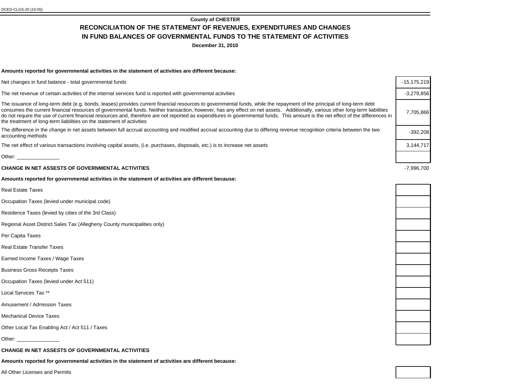**December 31, 2010**

#### **Amounts reported for governmental activities in the statement of activities are different because:**

Net changes in fund balance - total governmental funds

The net revenue of certain activities of the internal services fund is reported with governmental activities

The issuance of long-term debt (e.g. bonds, leases) provides current financial resources to governmental funds, while the repayment of the principal of long-term debt consumes the current financial resources of governmental funds. Neither transaction, however, has any effect on net assets. Additionally, various other long-term liabilities do not require the use of current financial resources and, therefore are not reported as expenditures in governmental funds. This amount is the net effect of the differences in the treatment of long-term liabilities on the statement of activities

The difference in the change in net assets between full accrual accounting and modified accrual accounting due to differing revenue recognition criteria between the two server between the two server and counting the two se

The net effect of various transactions involving capital assets, (i.e. purchases, disposals, etc.) is to increase net assets

Other:

#### **CHANGE IN NET ASSESTS OF GOVERNMENTAL ACTIVITIES** -7,996,700

#### **Amounts reported for governmental activities in the statement of activities are different because:**

Real Estate Taxes

Occupation Taxes (levied under municipal code)

Residence Taxes (levied by cities of the 3rd Class)

Regional Asset District Sales Tax (Allegheny County municipalities only)

Per Capita Taxes

Real Estate Transfer Taxes

Earned Income Taxes / Wage Taxes

Business Gross Receipts Taxes

Occupation Taxes (levied under Act 511)

Local Services Tax \*\*

Amusement / Admission Taxes

Mechanical Device Taxes

Other Local Tax Enabling Act / Act 511 / Taxes

Other:

**CHANGE IN NET ASSESTS OF GOVERNMENTAL ACTIVITIES**

**Amounts reported for governmental activities in the statement of activities are different because:**

All Other Licenses and Permits

| $-15, 175, 219$ |
|-----------------|
| $-3,279,856$    |
| 7,705,866       |
| $-392,208$      |
| 3,144,717       |
|                 |
|                 |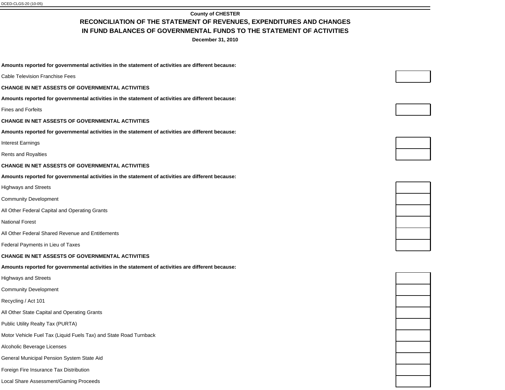**December 31, 2010**

**Amounts reported for governmental activities in the statement of activities are different because:**

Cable Television Franchise Fees

**CHANGE IN NET ASSESTS OF GOVERNMENTAL ACTIVITIES**

**Amounts reported for governmental activities in the statement of activities are different because:**

Fines and Forfeits

**CHANGE IN NET ASSESTS OF GOVERNMENTAL ACTIVITIES**

**Amounts reported for governmental activities in the statement of activities are different because:**

Interest Earnings

Rents and Royalties

#### **CHANGE IN NET ASSESTS OF GOVERNMENTAL ACTIVITIES**

**Amounts reported for governmental activities in the statement of activities are different because:**

Highways and Streets

Community Development

All Other Federal Capital and Operating Grants

National Forest

All Other Federal Shared Revenue and Entitlements

Federal Payments in Lieu of Taxes

#### **CHANGE IN NET ASSESTS OF GOVERNMENTAL ACTIVITIES**

**Amounts reported for governmental activities in the statement of activities are different because:**

Highways and Streets

Community Development

Recycling / Act 101

All Other State Capital and Operating Grants

Public Utility Realty Tax (PURTA)

Motor Vehicle Fuel Tax (Liquid Fuels Tax) and State Road Turnback

Alcoholic Beverage Licenses

General Municipal Pension System State Aid

Foreign Fire Insurance Tax Distribution

Local Share Assessment/Gaming Proceeds









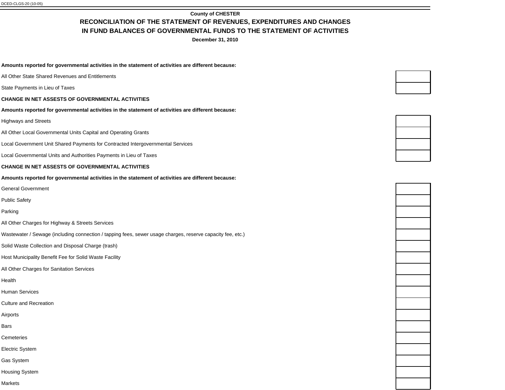**December 31, 2010**

#### **Amounts reported for governmental activities in the statement of activities are different because:**

- All Other State Shared Revenues and Entitlements
- State Payments in Lieu of Taxes
- **CHANGE IN NET ASSESTS OF GOVERNMENTAL ACTIVITIES**
- **Amounts reported for governmental activities in the statement of activities are different because:**
- Highways and Streets
- All Other Local Governmental Units Capital and Operating Grants
- Local Government Unit Shared Payments for Contracted Intergovernmental Services
- Local Governmental Units and Authorities Payments in Lieu of Taxes

#### **CHANGE IN NET ASSESTS OF GOVERNMENTAL ACTIVITIES**

#### **Amounts reported for governmental activities in the statement of activities are different because:**

- General Government
- Public Safety
- Parking
- All Other Charges for Highway & Streets Services
- Wastewater / Sewage (including connection / tapping fees, sewer usage charges, reserve capacity fee, etc.)
- Solid Waste Collection and Disposal Charge (trash)
- Host Municipality Benefit Fee for Solid Waste Facility
- All Other Charges for Sanitation Services
- Health
- Human Services
- Culture and Recreation
- Airports
- Bars
- **Cemeteries**
- Electric System
- Gas System
- Housing System
- Markets

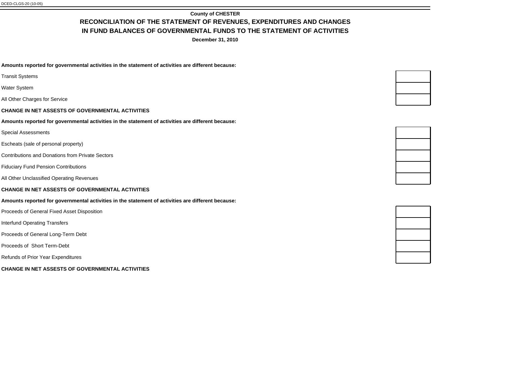**December 31, 2010**

**Amounts reported for governmental activities in the statement of activities are different because:**

- Transit Systems
- Water System
- All Other Charges for Service
- **CHANGE IN NET ASSESTS OF GOVERNMENTAL ACTIVITIES**
- **Amounts reported for governmental activities in the statement of activities are different because:**
- Special Assessments
- Escheats (sale of personal property)
- Contributions and Donations from Private Sectors
- Fiduciary Fund Pension Contributions
- All Other Unclassified Operating Revenues

#### **CHANGE IN NET ASSESTS OF GOVERNMENTAL ACTIVITIES**

#### **Amounts reported for governmental activities in the statement of activities are different because:**

- Proceeds of General Fixed Asset Disposition
- Interfund Operating Transfers
- Proceeds of General Long-Term Debt
- Proceeds of Short Term-Debt
- Refunds of Prior Year Expenditures
- **CHANGE IN NET ASSESTS OF GOVERNMENTAL ACTIVITIES**

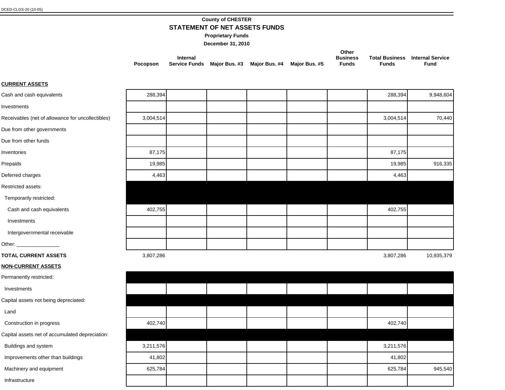# **County of CHESTER**

**STATEMENT OF NET ASSETS FUNDS**

**Proprietary Funds**

**December 31, 2010**

|          |                                                         |  | Other           |       |                                        |
|----------|---------------------------------------------------------|--|-----------------|-------|----------------------------------------|
|          | Internal                                                |  | <b>Business</b> |       | <b>Total Business</b> Internal Service |
| Pocopson | Service Funds Maior Bus. #3 Maior Bus. #4 Maior Bus. #5 |  | Funds           | Funds | Fund                                   |

## **CURRENT ASSETS**

| Cash and cash equivalents                         | 288,394   |  |  | 288,394   | 9,948,604  |
|---------------------------------------------------|-----------|--|--|-----------|------------|
| Investments                                       |           |  |  |           |            |
| Receivables (net of allowance for uncollectibles) | 3,004,514 |  |  | 3,004,514 | 70,440     |
| Due from other governments                        |           |  |  |           |            |
| Due from other funds                              |           |  |  |           |            |
| Inventories                                       | 87,175    |  |  | 87,175    |            |
| Prepaids                                          | 19,985    |  |  | 19,985    | 916,335    |
| Deferred charges                                  | 4,463     |  |  | 4,463     |            |
| Restricted assets:                                |           |  |  |           |            |
| Temporarily restricted:                           |           |  |  |           |            |
| Cash and cash equivalents                         | 402,755   |  |  | 402,755   |            |
| Investments                                       |           |  |  |           |            |
| Intergovernmental receivable                      |           |  |  |           |            |
|                                                   |           |  |  |           |            |
| <b>TOTAL CURRENT ASSETS</b>                       | 3,807,286 |  |  | 3,807,286 | 10,935,379 |
| <b>NON-CURRENT ASSETS</b>                         |           |  |  |           |            |
| Permanently restricted:                           |           |  |  |           |            |
| Investments                                       |           |  |  |           |            |
| Capital assets not being depreciated:             |           |  |  |           |            |
| Land                                              |           |  |  |           |            |
| Construction in progress                          | 402,740   |  |  | 402,740   |            |
| Capital assets net of accumulated depreciation:   |           |  |  |           |            |
| Buildings and system                              | 3,211,576 |  |  | 3,211,576 |            |
| Improvements other than buildings                 | 41,802    |  |  | 41,802    |            |
| Machinery and equipment                           | 625,784   |  |  | 625,784   | 945,540    |
| Infrastructure                                    |           |  |  |           |            |
|                                                   |           |  |  |           |            |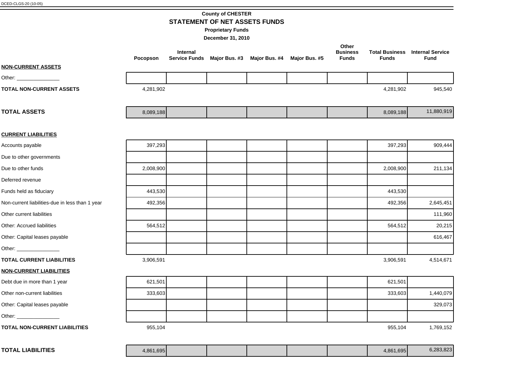# **County of CHESTER STATEMENT OF NET ASSETS FUNDS**

**Proprietary Funds**

|                                                 | Pocopson  | Internal<br><b>Service Funds</b> | Major Bus. #3 Major Bus. #4 | Major Bus. #5 | Other<br><b>Business</b><br><b>Funds</b> | <b>Funds</b> | <b>Total Business</b> Internal Service<br><b>Fund</b> |
|-------------------------------------------------|-----------|----------------------------------|-----------------------------|---------------|------------------------------------------|--------------|-------------------------------------------------------|
| <b>NON-CURRENT ASSETS</b>                       |           |                                  |                             |               |                                          |              |                                                       |
|                                                 |           |                                  |                             |               |                                          |              |                                                       |
| <b>TOTAL NON-CURRENT ASSETS</b>                 | 4,281,902 |                                  |                             |               |                                          | 4,281,902    | 945,540                                               |
| <b>TOTAL ASSETS</b>                             | 8,089,188 |                                  |                             |               |                                          | 8,089,188    | 11,880,919                                            |
| <b>CURRENT LIABILITIES</b>                      |           |                                  |                             |               |                                          |              |                                                       |
| Accounts payable                                | 397,293   |                                  |                             |               |                                          | 397,293      | 909,444                                               |
| Due to other governments                        |           |                                  |                             |               |                                          |              |                                                       |
| Due to other funds                              | 2,008,900 |                                  |                             |               |                                          | 2,008,900    | 211,134                                               |
| Deferred revenue                                |           |                                  |                             |               |                                          |              |                                                       |
| Funds held as fiduciary                         | 443,530   |                                  |                             |               |                                          | 443,530      |                                                       |
| Non-current liabilities-due in less than 1 year | 492,356   |                                  |                             |               |                                          | 492,356      | 2,645,451                                             |
| Other current liabilities                       |           |                                  |                             |               |                                          |              | 111,960                                               |
| Other: Accrued liabilities                      | 564,512   |                                  |                             |               |                                          | 564,512      | 20,215                                                |
| Other: Capital leases payable                   |           |                                  |                             |               |                                          |              | 616,467                                               |
| Other: __________________                       |           |                                  |                             |               |                                          |              |                                                       |
| <b>TOTAL CURRENT LIABILITIES</b>                | 3,906,591 |                                  |                             |               |                                          | 3,906,591    | 4,514,671                                             |
| <b>NON-CURRENT LIABILITIES</b>                  |           |                                  |                             |               |                                          |              |                                                       |
| Debt due in more than 1 year                    | 621,501   |                                  |                             |               |                                          | 621,501      |                                                       |
| Other non-current liabilities                   | 333,603   |                                  |                             |               |                                          | 333,603      | 1,440,079                                             |
| Other: Capital leases payable                   |           |                                  |                             |               |                                          |              | 329,073                                               |
| Other: __________________                       |           |                                  |                             |               |                                          |              |                                                       |
| <b>TOTAL NON-CURRENT LIABILITIES</b>            | 955,104   |                                  |                             |               |                                          | 955,104      | 1,769,152                                             |
| <b>TOTAL LIABILITIES</b>                        | 4,861,695 |                                  |                             |               |                                          | 4,861,695    | 6,283,823                                             |
|                                                 |           |                                  |                             |               |                                          |              |                                                       |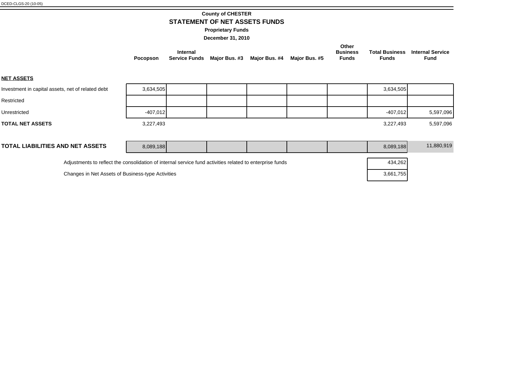## **County of CHESTER STATEMENT OF NET ASSETS FUNDS**

**Proprietary Funds**

**December 31, 2010**

|                 |                                                         |  | Other           |              |                                        |
|-----------------|---------------------------------------------------------|--|-----------------|--------------|----------------------------------------|
|                 | Internal                                                |  | <b>Business</b> |              | <b>Total Business</b> Internal Service |
| <b>Pocopson</b> | Service Funds Maior Bus. #3 Maior Bus. #4 Maior Bus. #5 |  | Funds           | <b>Funds</b> | Fund                                   |

**NET ASSETS**

| Investment in capital assets, net of related debt                                                        | 3,634,505  |  |  |  |  |  | 3,634,505  |            |
|----------------------------------------------------------------------------------------------------------|------------|--|--|--|--|--|------------|------------|
| Restricted                                                                                               |            |  |  |  |  |  |            |            |
| Unrestricted                                                                                             | $-407,012$ |  |  |  |  |  | $-407,012$ | 5,597,096  |
| <b>TOTAL NET ASSETS</b>                                                                                  | 3,227,493  |  |  |  |  |  | 3,227,493  | 5,597,096  |
|                                                                                                          |            |  |  |  |  |  |            |            |
| <b>TOTAL LIABILITIES AND NET ASSETS</b>                                                                  | 8,089,188  |  |  |  |  |  | 8,089,188  | 11,880,919 |
| Adjustments to reflect the consolidation of internal service fund activities related to enterprise funds |            |  |  |  |  |  | 434,262    |            |

Changes in Net Assets of Business-type Activities 3,661,755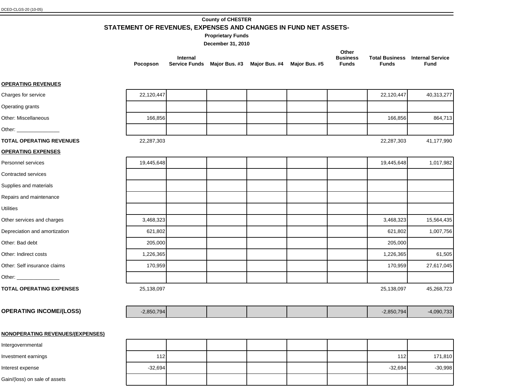# **County of CHESTER**

**STATEMENT OF REVENUES, EXPENSES AND CHANGES IN FUND NET ASSETS-**

**Proprietary Funds**

**December 31, 2010**

|                 |                                                         |  | Other           |       |                                        |
|-----------------|---------------------------------------------------------|--|-----------------|-------|----------------------------------------|
|                 | Internal                                                |  | <b>Business</b> |       | <b>Total Business</b> Internal Service |
| <b>Pocopson</b> | Service Funds Maior Bus. #3 Maior Bus. #4 Maior Bus. #5 |  | Funds           | Funds | Fund                                   |

## **OPERATING REVENUES**

| Charges for service                     | 22,120,447   |  |  | 22,120,447   | 40,313,277   |
|-----------------------------------------|--------------|--|--|--------------|--------------|
| Operating grants                        |              |  |  |              |              |
| Other: Miscellaneous                    | 166,856      |  |  | 166,856      | 864,713      |
|                                         |              |  |  |              |              |
| <b>TOTAL OPERATING REVENUES</b>         | 22,287,303   |  |  | 22,287,303   | 41,177,990   |
| <b>OPERATING EXPENSES</b>               |              |  |  |              |              |
| Personnel services                      | 19,445,648   |  |  | 19,445,648   | 1,017,982    |
| Contracted services                     |              |  |  |              |              |
| Supplies and materials                  |              |  |  |              |              |
| Repairs and maintenance                 |              |  |  |              |              |
| <b>Utilities</b>                        |              |  |  |              |              |
| Other services and charges              | 3,468,323    |  |  | 3,468,323    | 15,564,435   |
| Depreciation and amortization           | 621,802      |  |  | 621,802      | 1,007,756    |
| Other: Bad debt                         | 205,000      |  |  | 205,000      |              |
| Other: Indirect costs                   | 1,226,365    |  |  | 1,226,365    | 61,505       |
| Other: Self insurance claims            | 170,959      |  |  | 170,959      | 27,617,045   |
|                                         |              |  |  |              |              |
| <b>TOTAL OPERATING EXPENSES</b>         | 25,138,097   |  |  | 25,138,097   | 45,268,723   |
|                                         |              |  |  |              |              |
| <b>OPERATING INCOME/(LOSS)</b>          | $-2,850,794$ |  |  | $-2,850,794$ | $-4,090,733$ |
|                                         |              |  |  |              |              |
| <b>NONOPERATING REVENUES/(EXPENSES)</b> |              |  |  |              |              |
| Intergovernmental                       |              |  |  |              |              |
| Investment earnings                     | 112          |  |  | 112          | 171,810      |

Interest expense | -32,694 | -32,694 | -30,998

Gain/(loss) on sale of assets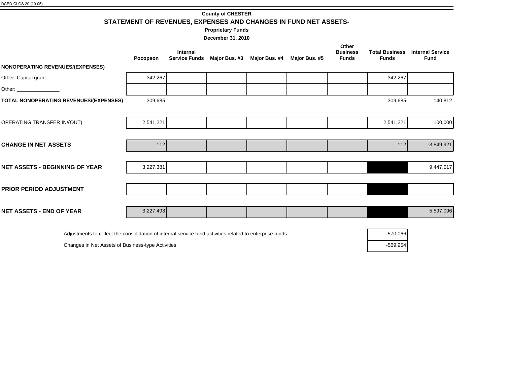**County of CHESTER**

**STATEMENT OF REVENUES, EXPENSES AND CHANGES IN FUND NET ASSETS-**

**Proprietary Funds**

**December 31, 2010**

|                                         | Pocopson  | <b>Internal</b><br><b>Service Funds</b> | Major Bus. #3 Major Bus. #4 | Major Bus. #5 | Other<br><b>Business</b><br><b>Funds</b> | <b>Total Business</b><br><b>Funds</b> | <b>Internal Service</b><br><b>Fund</b> |
|-----------------------------------------|-----------|-----------------------------------------|-----------------------------|---------------|------------------------------------------|---------------------------------------|----------------------------------------|
| <b>NONOPERATING REVENUES/(EXPENSES)</b> |           |                                         |                             |               |                                          |                                       |                                        |
| Other: Capital grant                    | 342,267   |                                         |                             |               |                                          | 342,267                               |                                        |
|                                         |           |                                         |                             |               |                                          |                                       |                                        |
| TOTAL NONOPERATING REVENUES/(EXPENSES)  | 309,685   |                                         |                             |               |                                          | 309,685                               | 140,812                                |
|                                         |           |                                         |                             |               |                                          |                                       |                                        |
| OPERATING TRANSFER IN/(OUT)             | 2,541,221 |                                         |                             |               |                                          | 2,541,221                             | 100,000                                |
|                                         |           |                                         |                             |               |                                          |                                       |                                        |
| <b>CHANGE IN NET ASSETS</b>             | 112       |                                         |                             |               |                                          | 112                                   | $-3,849,921$                           |
|                                         |           |                                         |                             |               |                                          |                                       |                                        |
| <b>NET ASSETS - BEGINNING OF YEAR</b>   | 3,227,381 |                                         |                             |               |                                          |                                       | 9,447,017                              |
|                                         |           |                                         |                             |               |                                          |                                       |                                        |
| <b>PRIOR PERIOD ADJUSTMENT</b>          |           |                                         |                             |               |                                          |                                       |                                        |
|                                         |           |                                         |                             |               |                                          |                                       |                                        |
| <b>NET ASSETS - END OF YEAR</b>         | 3,227,493 |                                         |                             |               |                                          |                                       | 5,597,096                              |
|                                         |           |                                         |                             |               |                                          |                                       |                                        |

Adjustments to reflect the consolidation of internal service fund activities related to enterprise funds -570,066

Changes in Net Assets of Business-type Activities -569,954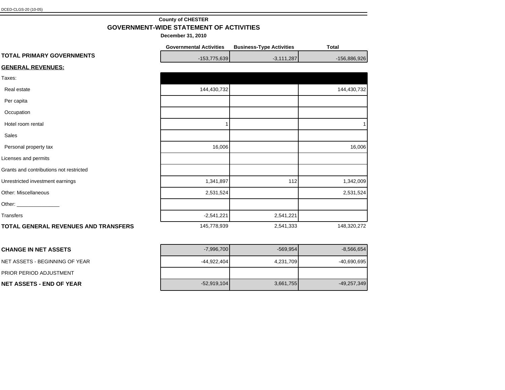## **County of CHESTER GOVERNMENT-WIDE STATEMENT OF ACTIVITIES**

|                                         | <b>Governmental Activities</b> | <b>Business-Type Activities</b> | <b>Total</b> |
|-----------------------------------------|--------------------------------|---------------------------------|--------------|
| TOTAL PRIMARY GOVERNMENTS               | $-153,775,639$                 | $-3,111,287$                    | -156,886,926 |
| <b>GENERAL REVENUES:</b>                |                                |                                 |              |
| Taxes:                                  |                                |                                 |              |
| Real estate                             | 144,430,732                    |                                 | 144,430,732  |
| Per capita                              |                                |                                 |              |
| Occupation                              |                                |                                 |              |
| Hotel room rental                       |                                |                                 |              |
| Sales                                   |                                |                                 |              |
| Personal property tax                   | 16,006                         |                                 | 16,006       |
| Licenses and permits                    |                                |                                 |              |
| Grants and contributions not restricted |                                |                                 |              |
| Unrestricted investment earnings        | 1,341,897                      | 112                             | 1,342,009    |
| Other: Miscellaneous                    | 2,531,524                      |                                 | 2,531,524    |
|                                         |                                |                                 |              |
| Transfers                               | $-2,541,221$                   | 2,541,221                       |              |
| TOTAL GENERAL REVENUES AND TRANSFERS    | 145,778,939                    | 2,541,333                       | 148,320,272  |

| I CHANGE IN NET ASSETS           | $-7,996,700$  | $-569,954$ | $-8,566,654$ |
|----------------------------------|---------------|------------|--------------|
| I NET ASSETS - BEGINNING OF YEAR | $-44,922,404$ | 4,231,709  | -40,690,695  |
| <b>PRIOR PERIOD ADJUSTMENT</b>   |               |            |              |
| INET ASSETS - END OF YEAR        | $-52,919,104$ | 3,661,755  | -49,257,349  |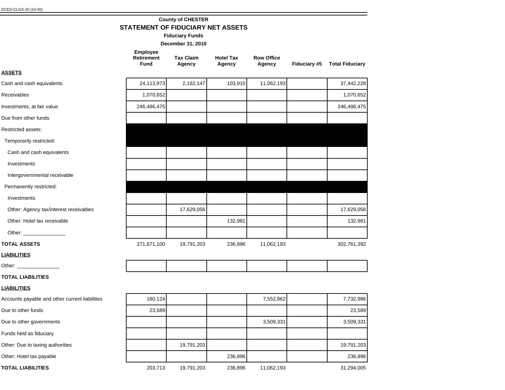## **County of CHESTER STATEMENT OF FIDUCIARY NET ASSETS**

**Fiduciary Funds**

**December 31, 2010**

# **Employee**

| <b>Retirement</b> | <b>Tax Claim</b> | <b>Hotel Tax</b> | <b>Row Office</b> |                     |                        |
|-------------------|------------------|------------------|-------------------|---------------------|------------------------|
| Fund              | Agency           | Agency           | Agency            | <b>Fiduciary #5</b> | <b>Total Fiduciary</b> |

| n. |  |
|----|--|
|    |  |

| Cash and cash equivalents              | 24,113,973  | 2,162,147  | 103,915 | 11,062,193 | 37,442,228  |
|----------------------------------------|-------------|------------|---------|------------|-------------|
| Receivables                            | 1,070,652   |            |         |            | 1,070,652   |
| Investments, at fair value             | 246,486,475 |            |         |            | 246,486,475 |
| Due from other funds                   |             |            |         |            |             |
| Restricted assets:                     |             |            |         |            |             |
| Temporarily restricted:                |             |            |         |            |             |
| Cash and cash equivalents              |             |            |         |            |             |
| Investments                            |             |            |         |            |             |
| Intergovernmental receivable           |             |            |         |            |             |
| Permanently restricted:                |             |            |         |            |             |
| Investments                            |             |            |         |            |             |
| Other: Agency tax/interest receivables |             | 17,629,056 |         |            | 17,629,056  |
| Other: Hotel tax receivable            |             |            | 132,981 |            | 132,981     |
| Other: <u>www.community.com</u>        |             |            |         |            |             |
| <b>TOTAL ASSETS</b>                    | 271,671,100 | 19,791,203 | 236,896 | 11,062,193 | 302,761,392 |

#### **LIABILITIES**

Other:

#### **TOTAL LIABILITIES**

### **LIABILITIES**

| Accounts payable and other current liabilities | 180,124 |            |         | 7,552,862  | 7,732,986  |
|------------------------------------------------|---------|------------|---------|------------|------------|
| Due to other funds                             | 23,589  |            |         |            | 23,589     |
| Due to other governments                       |         |            |         | 3,509,331  | 3,509,331  |
| Funds held as fiduciary                        |         |            |         |            |            |
| Other: Due to taxing authorities               |         | 19,791,203 |         |            | 19,791,203 |
| Other: Hotel tax payable                       |         |            | 236,896 |            | 236,896    |
| <b>TOTAL LIABILITIES</b>                       | 203,713 | 19,791,203 | 236,896 | 11,062,193 | 31,294,005 |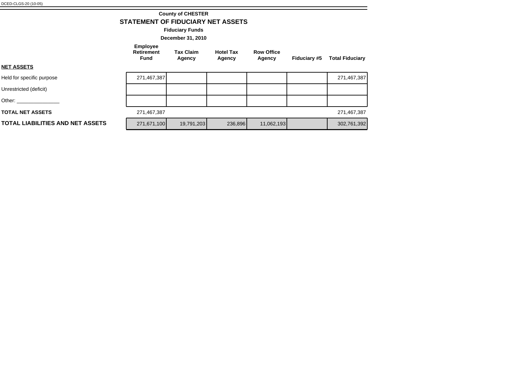## **STATEMENT OF FIDUCIARY NET ASSETS County of CHESTER**

**Fiduciary Funds**

**December 31, 2010**

| <b>Employee</b> |  |  |  |  |  |  |
|-----------------|--|--|--|--|--|--|
|                 |  |  |  |  |  |  |

**Retirement Fund Tax Claim** 

**Agency Hotel Tax Agency**

**Row Office Agency Fiduciary #5 Total Fiduciary**

**NET ASSETS**

| Held for specific purpose        | 271,467,387 |            |         |            | 271,467,387 |
|----------------------------------|-------------|------------|---------|------------|-------------|
| Unrestricted (deficit)           |             |            |         |            |             |
| Other:                           |             |            |         |            |             |
| <b>TOTAL NET ASSETS</b>          | 271,467,387 |            |         |            | 271,467,387 |
| TOTAL LIABILITIES AND NET ASSETS | 271,671,100 | 19,791,203 | 236,896 | 11,062,193 | 302,761,392 |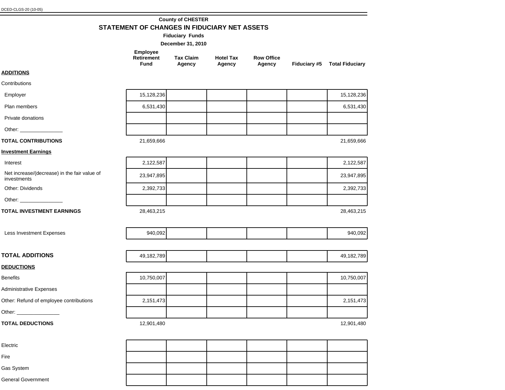Gas System

Fire Electric

## **County of CHESTER STATEMENT OF CHANGES IN FIDUCIARY NET ASSETS**

Other: Refund of employee contributions and the 2,151,473 2,151,473 2,151,473 2,151,473 Administrative Expenses Benefits 10,750,007 10,750,007 Other: \_\_\_\_\_\_\_\_\_\_\_\_\_\_\_ **TOTAL DEDUCTIONS** 12,901,480 12,901,480 12,901,480 12,901,480 12,901,480 12,901,480 12,901,480 12,901,480 12,901,480 **DEDUCTIONS** Less Investment Expenses and the second of the second state of 940,092 and the second of the second of 940,092  $\vert$ Other: \_\_\_\_\_\_\_\_\_\_\_\_\_\_\_ Net increase/(decrease) in the fair value of  $i$  investments  $i$  and  $i$  and  $i$  and  $i$  and  $i$  and  $i$  and  $i$  and  $i$  and  $i$  and  $i$  and  $i$  and  $i$  and  $i$  and  $i$  and  $i$  and  $i$  and  $i$  and  $i$  and  $i$  and  $i$  and  $i$  and  $i$  and  $i$  and  $i$  and  $i$  and  $i$  a Interest 2,122,587 2,122,587 Other: Dividends | 2,392,733 | | | 2,392,733 **TOTAL INVESTMENT EARNINGS** 28,463,215 28,463,215 28,463,215 **Investment Earnings** Private donations Plan members | 6,531,430 | | | | | 6,531,430 Employer 15,128,236 | 15,128,236 Other: **TOTAL CONTRIBUTIONS** 21,659,666 21,659,666 21,659,666 21,659,666 21,659,666 21,659,666 21,659,666 21,659,666 21,659,666 21,659,666 21,659,666 21,659,666 21,659,666 21,659,666 21,659,666 21,659,666 21,659,666 21,659,666 21 **ADDITIONS Contributions TOTAL ADDITIONS** 49,182,789 49,182,789 **Employee Retirement Fund Tax Claim Agency Hotel Tax Agency Row Office Agency Fiduciary #5 Total Fiduciary December 31, 2010 Fiduciary Funds**

General Government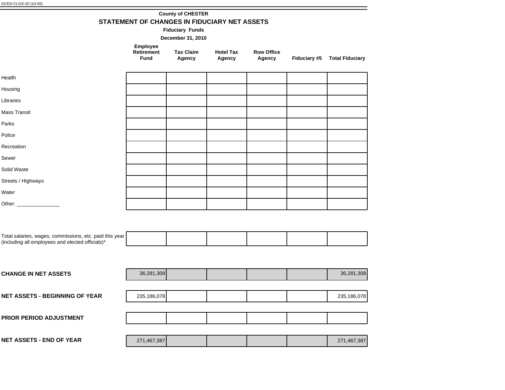|  | <b>County of CHESTER</b>                     |  |
|--|----------------------------------------------|--|
|  | STATEMENT OF CHANGES IN FIDUCIARY NET ASSETS |  |

**Fiduciary Funds**

**December 31, 2010**

| <b>Employee</b><br><b>Retirement</b><br>Fund | <b>Tax Claim</b><br>Agency |
|----------------------------------------------|----------------------------|
|----------------------------------------------|----------------------------|

**Hotel Tax Agency Row Office** 

**Agency Fiduciary #5 Total Fiduciary**

| Health                   |  |  |  |
|--------------------------|--|--|--|
| Housing                  |  |  |  |
| Libraries                |  |  |  |
| Mass Transit             |  |  |  |
| Parks                    |  |  |  |
| Police                   |  |  |  |
| Recreation               |  |  |  |
| Sewer                    |  |  |  |
| Solid Waste              |  |  |  |
| Streets / Highways       |  |  |  |
| Water                    |  |  |  |
| Other: _________________ |  |  |  |
|                          |  |  |  |

| Total salaries, wages, commissions, etc. paid this year |  |  |  |
|---------------------------------------------------------|--|--|--|
| (including all employees and elected officials)*        |  |  |  |

| <b>CHANGE IN NET ASSETS</b>           | 36,281,309  |  |  | 36,281,309  |
|---------------------------------------|-------------|--|--|-------------|
|                                       |             |  |  |             |
| <b>NET ASSETS - BEGINNING OF YEAR</b> | 235,186,078 |  |  | 235,186,078 |
|                                       |             |  |  |             |
| PRIOR PERIOD ADJUSTMENT               |             |  |  |             |
|                                       |             |  |  |             |
| <b>NET ASSETS - END OF YEAR</b>       | 271,467,387 |  |  | 271,467,387 |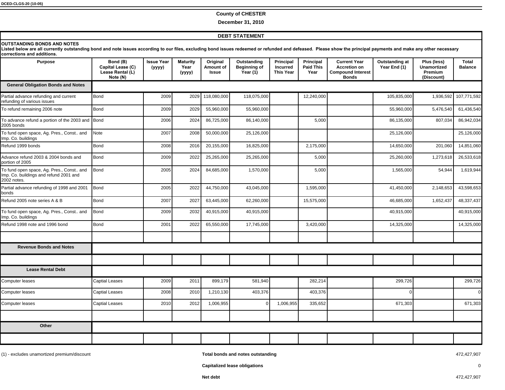#### **County of CHESTER**

**December 31, 2010**

#### **DEBT STATEMENT**

#### **Other** Computer leases Captial Leases 2008 2010 1,210,130 403,376 403,376 0 0 Computer leases Captial Leases 2010 2012 1,006,955 0 1,006,955 335,652 671,303 671,303 Computer leases Captial Leases 2009 2011 899,179 581,940 282,214 299,726 299,726 **Lease Rental Debt Revenue Bonds and Notes** Refund 2005 note series A & B Bond 2007 | 2027 | 63,445,000 | 15,575,000 | 1,652,437 | 48,337,437 To fund open space, Ag. Pres., Const.. and Imp. Co. buildings and refund 2001 and 2002 notes. Bond 2005 2024 84,685,000 1,570,000 5,000 1,565,000 54,944 1,619,944 To fund open space, Ag. Pres., Const.. and Imp. Co. buildings Bond 2009 2032 40,915,000 40,915,000 40,915,000 Partial advance refunding of 1998 and 2001 bonds Bond 2005 2022 44,750,000 43,045,000 1,595,000 41,450,000 2,148,653 43,598,653 Refund 1998 note and 1996 bond Bond Bond 14,325,000 2022 65,550,000 17,745,000 3,420,000 14,325,000 14,325,000 To advance refund a portion of the 2003 and 2005 bonds Bond 2006 2024 86,725,000 86,140,000 5,000 86,135,000 807,034 86,942,034 To refund remaining 2006 note Bond 2009 | 2029 | 55,960,000 | 55,960,000 | 55,960,000 | 55,960,000 | 5,476,540 | 61,436,540 Partial advance refunding and current refunding of various issues Bond 2009 2029 118,080,000 118,075,000 12,240,000 105,835,000 1,936,592 107,771,592 Advance refund 2003 & 2004 bonds and portion of 2005 Bond 2009 2022 25,265,000 25,265,000 5,000 25,260,000 1,273,618 26,533,618 Refund 1999 bonds 2008 | 2016 | 20,155,000 | 2,175,000 | 201,060 | 14,851,060 To fund open space, Ag. Pres., Const.. and Imp. Co. buildings Note 2007 2008 50,000,000 25,126,000 25,126,000 25,126,000 **General Obligation Bonds and Notes 28757 NUTSTANDING BONDS AND NOTES** Listed below are all currently outstanding bond and note issues according to our files, excluding bond issues redeemed or refunded and defeased. Please show the principal payments and make any other necessary corrections and additions. Purpose **Bond (B) Capital Lease (C)** Lease Rental (L)  $Note (N)$ **Issue Year \\\\ Maturity Year \\\\ Original Amount of Issue Outstanding Beginning of Year (1) Principal Incurred This Year Principal Paid This Year Current Year Accretion on Compound Interest Bonds Outstanding at Year End (1) Plus (less) Unamortized Premium (Discount) Total Balance**

(1) - excludes unamortized premium/discount **Total bonds and notes outstanding** 472,427,907

**Capitalized lease obligations** 0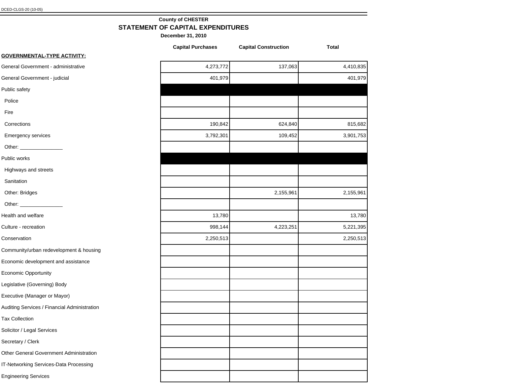## **County of CHESTER STATEMENT OF CAPITAL EXPENDITURES**

|                                              | <b>Capital Purchases</b> | <b>Capital Construction</b> | <b>Total</b> |
|----------------------------------------------|--------------------------|-----------------------------|--------------|
| <b>GOVERNMENTAL-TYPE ACTIVITY:</b>           |                          |                             |              |
| General Government - administrative          | 4,273,772                | 137,063                     | 4,410,835    |
| General Government - judicial                | 401,979                  |                             | 401,979      |
| Public safety                                |                          |                             |              |
| Police                                       |                          |                             |              |
| Fire                                         |                          |                             |              |
| Corrections                                  | 190,842                  | 624,840                     | 815,682      |
| Emergency services                           | 3,792,301                | 109,452                     | 3,901,753    |
|                                              |                          |                             |              |
| Public works                                 |                          |                             |              |
| Highways and streets                         |                          |                             |              |
| Sanitation                                   |                          |                             |              |
| Other: Bridges                               |                          | 2,155,961                   | 2,155,961    |
|                                              |                          |                             |              |
| Health and welfare                           | 13,780                   |                             | 13,780       |
| Culture - recreation                         | 998,144                  | 4,223,251                   | 5,221,395    |
| Conservation                                 | 2,250,513                |                             | 2,250,513    |
| Community/urban redevelopment & housing      |                          |                             |              |
| Economic development and assistance          |                          |                             |              |
| Economic Opportunity                         |                          |                             |              |
| Legislative (Governing) Body                 |                          |                             |              |
| Executive (Manager or Mayor)                 |                          |                             |              |
| Auditing Services / Financial Administration |                          |                             |              |
| <b>Tax Collection</b>                        |                          |                             |              |
| Solicitor / Legal Services                   |                          |                             |              |
| Secretary / Clerk                            |                          |                             |              |
| Other General Government Administration      |                          |                             |              |
| IT-Networking Services-Data Processing       |                          |                             |              |
| <b>Engineering Services</b>                  |                          |                             |              |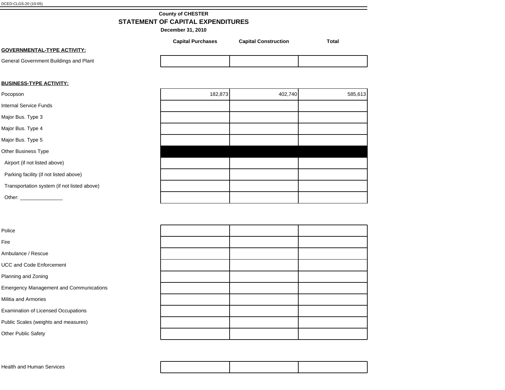# **County of CHESTER STATEMENT OF CAPITAL EXPENDITURES**

**December 31, 2010**

|                                        | <b>Capital Purchases</b> | <b>Capital Construction</b> | Total |
|----------------------------------------|--------------------------|-----------------------------|-------|
| <b>GOVERNMENTAL-TYPE ACTIVITY:</b>     |                          |                             |       |
| General Government Buildings and Plant |                          |                             |       |

## **BUSINESS-TYPE ACTIVITY:**

| Pocopson                                                                                                       | 182,873 | 402,740 | 585,613 |
|----------------------------------------------------------------------------------------------------------------|---------|---------|---------|
| <b>Internal Service Funds</b>                                                                                  |         |         |         |
| Major Bus. Type 3                                                                                              |         |         |         |
| Major Bus. Type 4                                                                                              |         |         |         |
| Major Bus. Type 5                                                                                              |         |         |         |
| Other Business Type                                                                                            |         |         |         |
| Airport (if not listed above)                                                                                  |         |         |         |
| Parking facility (if not listed above)                                                                         |         |         |         |
| Transportation system (if not listed above)                                                                    |         |         |         |
| Other: and the contract of the contract of the contract of the contract of the contract of the contract of the |         |         |         |

| Police                                         |  |  |
|------------------------------------------------|--|--|
| Fire                                           |  |  |
| Ambulance / Rescue                             |  |  |
| <b>UCC and Code Enforcement</b>                |  |  |
| Planning and Zoning                            |  |  |
| <b>Emergency Management and Communications</b> |  |  |
| Militia and Armories                           |  |  |
| <b>Examination of Licensed Occupations</b>     |  |  |
| Public Scales (weights and measures)           |  |  |
| Other Public Safety                            |  |  |

|--|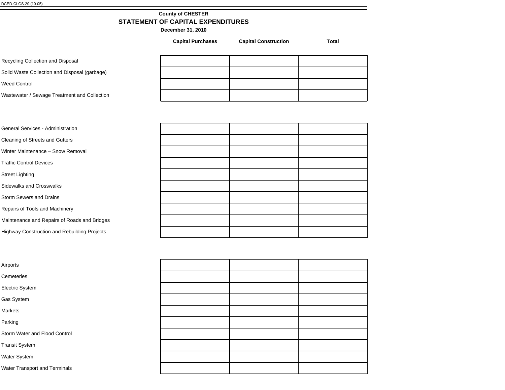## **County of CHESTER STATEMENT OF CAPITAL EXPENDITURES**

**December 31, 2010**

Recycling Collection and Disposal

Solid Waste Collection and Disposal (garbage)

Weed Control

Wastewater / Sewage Treatment and Collection

**Capital Purchases Capital Construction Total**

| <b>General Services - Administration</b>     |  |  |
|----------------------------------------------|--|--|
| Cleaning of Streets and Gutters              |  |  |
| Winter Maintenance - Snow Removal            |  |  |
| <b>Traffic Control Devices</b>               |  |  |
| <b>Street Lighting</b>                       |  |  |
| Sidewalks and Crosswalks                     |  |  |
| <b>Storm Sewers and Drains</b>               |  |  |
| Repairs of Tools and Machinery               |  |  |
| Maintenance and Repairs of Roads and Bridges |  |  |
| Highway Construction and Rebuilding Projects |  |  |

| itrol |  |  |
|-------|--|--|
|       |  |  |
|       |  |  |
| าals  |  |  |

Airports

**Cemeteries** 

Electric System

Gas System

Markets

Parking

Storm Water and Flood Con

Transit System

Water System

Water Transport and Termin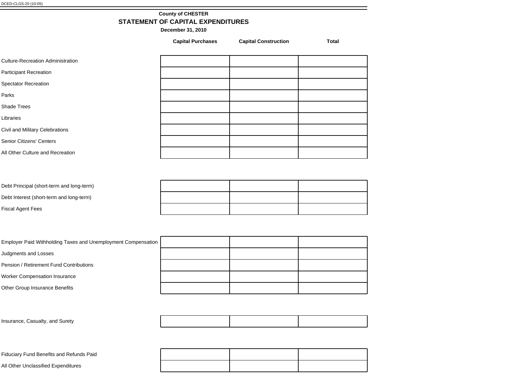# **County of CHESTER STATEMENT OF CAPITAL EXPENDITURES**

**December 31, 2010**

| <b>Capital Purchases</b> | <b>Capital Construction</b> | <b>Total</b> |
|--------------------------|-----------------------------|--------------|
|                          |                             |              |
|                          |                             |              |
|                          |                             |              |
|                          |                             |              |
|                          |                             |              |
|                          |                             |              |
|                          |                             |              |
|                          |                             |              |
|                          |                             |              |
|                          |                             |              |
|                          |                             |              |
|                          |                             |              |

| Debt Principal (short-term and long-term) |  |  |
|-------------------------------------------|--|--|
| Debt Interest (short-term and long-term)  |  |  |
| <b>Fiscal Agent Fees</b>                  |  |  |

| Employer Paid Withholding Taxes and Unemployment Compensation |  |  |
|---------------------------------------------------------------|--|--|
| Judgments and Losses                                          |  |  |
| Pension / Retirement Fund Contributions                       |  |  |
| <b>Worker Compensation Insurance</b>                          |  |  |
| Other Group Insurance Benefits                                |  |  |

| Insurance, Casualty, and Surety |  |  |
|---------------------------------|--|--|
|                                 |  |  |

Fiduciary Fund Benefits and Refunds Paid

All Other Unclassified Expenditures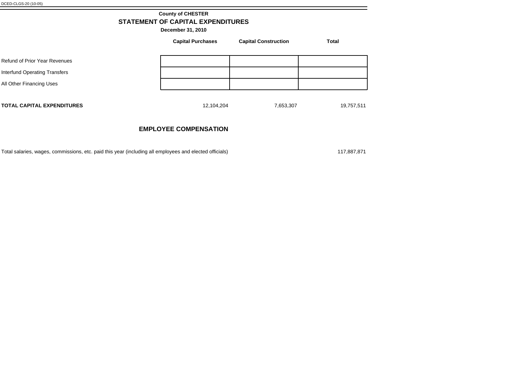# **County of CHESTER STATEMENT OF CAPITAL EXPENDITURES**

**December 31, 2010**

|                                   | <b>Capital Purchases</b> | <b>Capital Construction</b> | <b>Total</b> |
|-----------------------------------|--------------------------|-----------------------------|--------------|
| Refund of Prior Year Revenues     |                          |                             |              |
| Interfund Operating Transfers     |                          |                             |              |
| All Other Financing Uses          |                          |                             |              |
| <b>TOTAL CAPITAL EXPENDITURES</b> | 12,104,204               | 7,653,307                   | 19,757,511   |

# **EMPLOYEE COMPENSATION**

Total salaries, wages, commissions, etc. paid this year (including all employees and elected officials) 117,887,871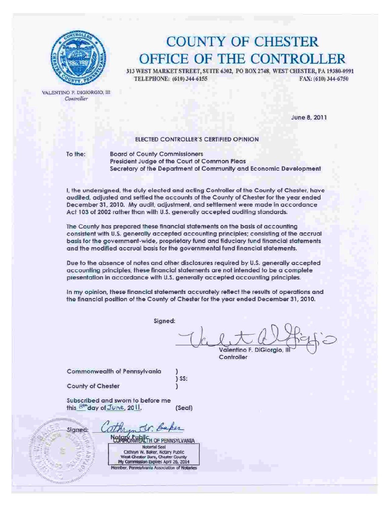

# **COUNTY OF CHESTER** OFFICE OF THE CONTROLLER

313 WEST MARKET STREET, SUITE 6302, PO BOX 2748, WEST CHESTER, PA 19380-0991 TELEPHONE: (610) 344-6155 FAX: (610) 344-6750

VALENTINO F. DIGIORGIO, III Controller

June 8, 2011

## ELECTED CONTROLLER'S CERTIFIED OPINION

To the:

**Board of County Commissioners** President Judge of the Court of Common Pleas Secretary of the Department of Community and Economic Development

I, the undersigned, the duly elected and acting Controller of the County of Chester, have audited, adjusted and settled the accounts of the County of Chester for the year ended December 31, 2010. My audit, adjustment, and settlement were made in accordance Act 103 of 2002 rather than with U.S. generally accepted auditing standards.

The County has prepared these financial statements on the basis of accounting consistent with U.S. generally accepted accounting principles; consisting of the accrual basis for the government-wide, proprietary fund and fiduciary fund financial statements and the modified accrual basis for the governmental fund financial statements.

Due to the absence of notes and other disclosures required by U.S. generally accepted accounting principles, these financial statements are not intended to be a complete presentation in accordance with U.S. generally accepted accounting principles.

In my opinion, these financial statements accurately reflect the results of operations and the financial position of the County of Chester for the year ended December 31, 2010.

Signed:

Valentino F. DiGiorgio, Controller

Commonwealth of Pennsylvania

County of Chester

**EALTH OF PENNSYLVANIA** 

**Notarfal Seal** 

Subscribed and sworn to before me this 8th day of June, 2011. (Seal)

Signed Cathryn W. Baker, Notary Public West Chester Boro, Chester County My Commission Expires April 26, 2014 Member, Pennsylvania Association of Notarles

**FELLIPSIA**